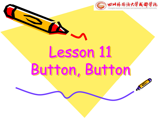

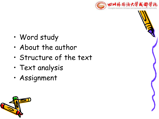

- Word study
- About the author
- Structure of the text
- Text analysis
- Assignment

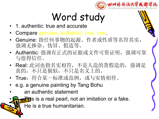

### Word study

- 1. authentic: true and accurate
- Compare genuine, authentic, real, true.
- Genuine: 指任何事物的起源、作者或性质等名符其实, 强调无掺杂、伪冒、假造等。
- Authentic: 强调有正式的证据或文件可资证明,强调可靠 与值得信任。
- Real: 此词也指名实相符,不是人造的货假造的,强调是 真的,不只是貌似,不只是名义上的。
- True:符合某一标准或范例,或与实情相符。
- e.g. a genuine painting by Tang Bohu
- an authentic statement

 $\frac{1}{\sqrt{2}}$  is a real pearl, not an imitation or a fake.

He is a true humanitarian.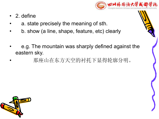

- 2. define
- a. state precisely the meaning of sth.
- b. show (a line, shape, feature, etc) clearly
- e.g. The mountain was sharply defined against the eastern sky.
	- 那座山在东方天空的衬托下显得轮廓分明。

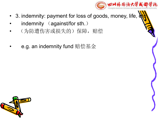

- 3. indemnity: payment for loss of goods, money, life,
- indemnity (against/for sth.)
- (为防遭伤害或损失的)保障,赔偿
- e.g. an indemnity fund 赔偿基金

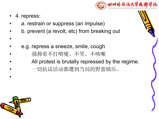

4. repress:

 $\bullet$ 

- a. restrain or suppress (an impulse)
- b. prevent (a revolt, etc) from breaking out
- e.g. repress a sneeze, smile, cough
- 强抑着不打喷嚏、不笑、不咳嗽
- All protest is brutally repressed by the regime.
	- 一切抗议活动都遭到当局的野蛮镇压。



•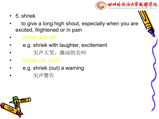

- 5. shriek
- to give a long high shout, especially when you are excited, frightened or in pain
- shriek with sth.
- e.g. shriek with laughter, excitement
- 尖声大笑、激动的尖叫
- shriek sth. (out)
- e.g. shriek (out) a warning
- 尖声警告

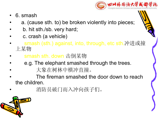

- 6. smash
- a. (cause sth. to) be broken violently into pieces;
- b. hit sth./sb. very hard;
- c. crash (a vehicle)
- smash (sth.) against, into, through, etc sth.冲进或撞 上某物
- smash sth. down 击倒某物
- e.g. The elephant smashed through the trees.
- 大象在树林中横冲直撞。
- The fireman smashed the door down to reach the children.
- 消防员破门而入冲向孩子们。

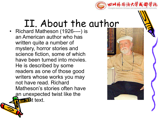

#### II. About the author

• Richard Matheson (1926----) is an American author who has written quite a number of mystery, horror stories and science fiction, some of which have been turned into movies. He is described by some readers as one of those good writers whose works you may not have read. Richard Matheson's stories often have an unexpected twist like the  $\epsilon$  and text.

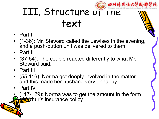

# III. Structure of the text

- Part I
- (1-36): Mr. Steward called the Lewises in the evening, and a push-button unit was delivered to them.
- Part II
- (37-54): The couple reacted differently to what Mr. Steward said.
- Part III
- (55-116): Norma got deeply involved in the matter and this made her husband very unhappy.
- Part IV
- $(117-129)$ : Norma was to get the amount in the form **of T**uthur's insurance policy.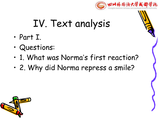

## IV. Text analysis

- Part I.
- Questions:
- 1. What was Norma's first reaction?
- 2. Why did Norma repress a smile?

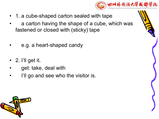

- 1. a cube-shaped carton sealed with tape
- a carton having the shape of a cube, which was fastened or closed with (sticky) tape
- e.g. a heart-shaped candy
- $\cdot$  2. I'll get it.
- get: take, deal with
- I'll go and see who the visitor is.

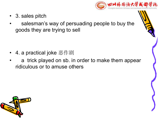

- 3. sales pitch
- salesman's way of persuading people to buy the goods they are trying to sell

- 4. a practical joke 恶作剧
- a trick played on sb. in order to make them appear ridiculous or to amuse others

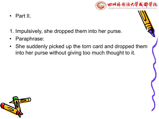

- Part II.
- 1. Impulsively, she dropped them into her purse.
- Paraphrase:
- She suddenly picked up the torn card and dropped them into her purse without giving too much thought to it.

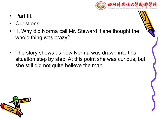

- Part III.
- Questions:
- 1. Why did Norma call Mr. Steward if she thought the whole thing was crazy?
- The story shows us how Norma was drawn into this situation step by step. At this point she was curious, but she still did not quite believe the man.

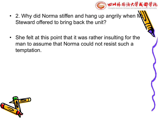

- 2. Why did Norma stiffen and hang up angrily when  $N$ Steward offered to bring back the unit?
- She felt at this point that it was rather insulting for the man to assume that Norma could not resist such a temptation.

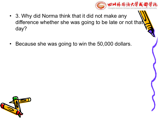

- 3. Why did Norma think that it did not make any difference whether she was going to be late or not that day?
- Because she was going to win the 50,000 dollars.

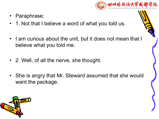

- Paraphrase:
- 1. Not that I believe a word of what you told us.
- I am curious about the unit, but it does not mean that I believe what you told me.
- 2. Well, of all the nerve, she thought.
- She is angry that Mr. Steward assumed that she would want the package.

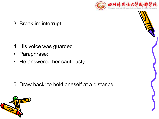

#### 3. Break in: interrupt

- 4. His voice was guarded.
- Paraphrase:
- He answered her cautiously.

5. Draw back: to hold oneself at a distance



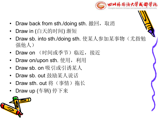

- Draw back from sth./doing sth. 撤回, 取消
- Draw in (白天的时间) 渐短
- Draw sb. into sth./doing sth. 使某人参加某事物(尤指勉 强他人)
- Draw on (时间或季节)临近,接近
- Draw on/upon sth. 使用, 利用
- Draw sb. on 吸引或引诱某人
- Draw sb. out 鼓励某人说话
- **Draw sth. out 将**(事情) 拖长
- Draw up (车辆) 停下来

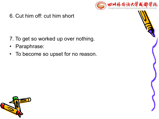

6. Cut him off: cut him short

- 7. To get so worked up over nothing.
- Paraphrase:
- To become so upset for no reason.



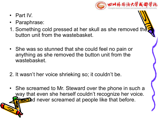

- Part IV.
- Paraphrase:
- 1. Something cold pressed at her skull as she removed the button unit from the wastebasket.
- She was so stunned that she could feel no pain or anything as she removed the button unit from the wastebasket.
- 2. It wasn't her voice shrieking so; it couldn't be.
- She screamed to Mr. Steward over the phone in such a way that even she herself couldn't recognize her voice. **Bot** had never screamed at people like that before.